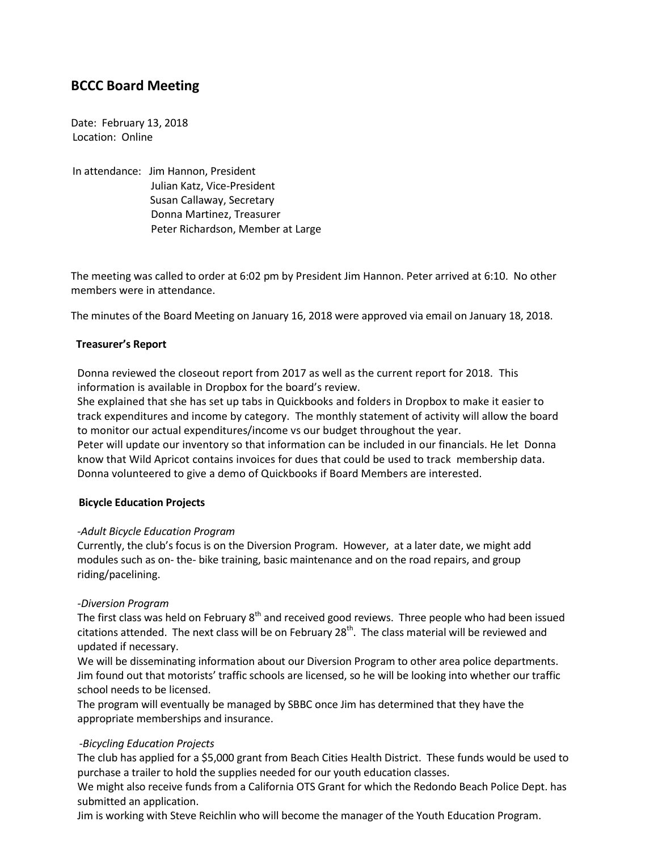# **BCCC Board Meeting**

Date: February 13, 2018 Location: Online

In attendance: Jim Hannon, President Julian Katz, Vice-President Susan Callaway, Secretary Donna Martinez, Treasurer Peter Richardson, Member at Large

The meeting was called to order at 6:02 pm by President Jim Hannon. Peter arrived at 6:10. No other members were in attendance.

The minutes of the Board Meeting on January 16, 2018 were approved via email on January 18, 2018.

## **Treasurer's Report**

Donna reviewed the closeout report from 2017 as well as the current report for 2018. This information is available in Dropbox for the board's review.

She explained that she has set up tabs in Quickbooks and folders in Dropbox to make it easier to track expenditures and income by category. The monthly statement of activity will allow the board to monitor our actual expenditures/income vs our budget throughout the year.

Peter will update our inventory so that information can be included in our financials. He let Donna know that Wild Apricot contains invoices for dues that could be used to track membership data. Donna volunteered to give a demo of Quickbooks if Board Members are interested.

## **Bicycle Education Projects**

## *-Adult Bicycle Education Program*

Currently, the club's focus is on the Diversion Program. However, at a later date, we might add modules such as on- the- bike training, basic maintenance and on the road repairs, and group riding/pacelining.

## *-Diversion Program*

The first class was held on February 8<sup>th</sup> and received good reviews. Three people who had been issued citations attended. The next class will be on February 28<sup>th</sup>. The class material will be reviewed and updated if necessary.

We will be disseminating information about our Diversion Program to other area police departments. Jim found out that motorists' traffic schools are licensed, so he will be looking into whether our traffic school needs to be licensed.

The program will eventually be managed by SBBC once Jim has determined that they have the appropriate memberships and insurance.

## *-Bicycling Education Projects*

The club has applied for a \$5,000 grant from Beach Cities Health District. These funds would be used to purchase a trailer to hold the supplies needed for our youth education classes.

We might also receive funds from a California OTS Grant for which the Redondo Beach Police Dept. has submitted an application.

Jim is working with Steve Reichlin who will become the manager of the Youth Education Program.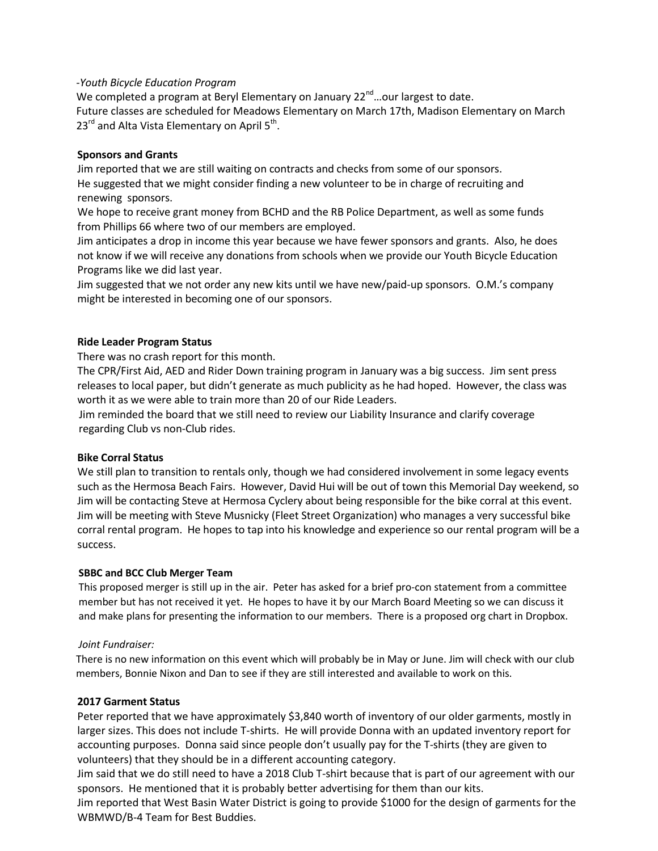## *-Youth Bicycle Education Program*

We completed a program at Beryl Elementary on January 22<sup>nd</sup>...our largest to date. Future classes are scheduled for Meadows Elementary on March 17th, Madison Elementary on March  $23<sup>rd</sup>$  and Alta Vista Elementary on April 5<sup>th</sup>.

## **Sponsors and Grants**

Jim reported that we are still waiting on contracts and checks from some of our sponsors. He suggested that we might consider finding a new volunteer to be in charge of recruiting and renewing sponsors.

We hope to receive grant money from BCHD and the RB Police Department, as well as some funds from Phillips 66 where two of our members are employed.

Jim anticipates a drop in income this year because we have fewer sponsors and grants. Also, he does not know if we will receive any donations from schools when we provide our Youth Bicycle Education Programs like we did last year.

Jim suggested that we not order any new kits until we have new/paid-up sponsors. O.M.'s company might be interested in becoming one of our sponsors.

#### **Ride Leader Program Status**

There was no crash report for this month.

The CPR/First Aid, AED and Rider Down training program in January was a big success. Jim sent press releases to local paper, but didn't generate as much publicity as he had hoped. However, the class was worth it as we were able to train more than 20 of our Ride Leaders.

 Jim reminded the board that we still need to review our Liability Insurance and clarify coverage regarding Club vs non-Club rides.

## **Bike Corral Status**

We still plan to transition to rentals only, though we had considered involvement in some legacy events such as the Hermosa Beach Fairs. However, David Hui will be out of town this Memorial Day weekend, so Jim will be contacting Steve at Hermosa Cyclery about being responsible for the bike corral at this event. Jim will be meeting with Steve Musnicky (Fleet Street Organization) who manages a very successful bike corral rental program. He hopes to tap into his knowledge and experience so our rental program will be a success.

## **SBBC and BCC Club Merger Team**

This proposed merger is still up in the air. Peter has asked for a brief pro-con statement from a committee member but has not received it yet. He hopes to have it by our March Board Meeting so we can discuss it and make plans for presenting the information to our members. There is a proposed org chart in Dropbox.

#### *Joint Fundraiser:*

 There is no new information on this event which will probably be in May or June. Jim will check with our club members, Bonnie Nixon and Dan to see if they are still interested and available to work on this.

## **2017 Garment Status**

Peter reported that we have approximately \$3,840 worth of inventory of our older garments, mostly in larger sizes. This does not include T-shirts. He will provide Donna with an updated inventory report for accounting purposes. Donna said since people don't usually pay for the T-shirts (they are given to volunteers) that they should be in a different accounting category.

Jim said that we do still need to have a 2018 Club T-shirt because that is part of our agreement with our sponsors. He mentioned that it is probably better advertising for them than our kits.

Jim reported that West Basin Water District is going to provide \$1000 for the design of garments for the WBMWD/B-4 Team for Best Buddies.